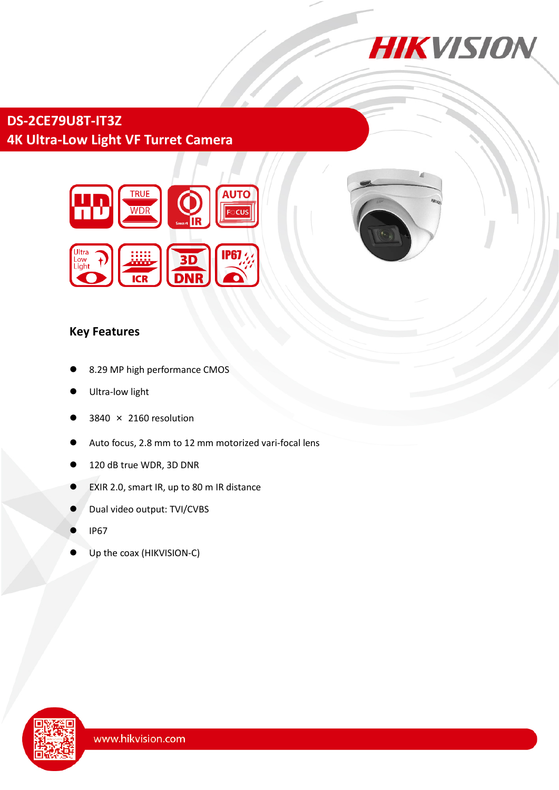

# **DS-2CE79U8T-IT3Z 4K Ultra-Low Light VF Turret Camera**



### **Key Features**

- 8.29 MP high performance CMOS
- Ultra-low light
- 3840 × 2160 resolution
- Auto focus, 2.8 mm to 12 mm motorized vari-focal lens
- 120 dB true WDR, 3D DNR
- EXIR 2.0, smart IR, up to 80 m IR distance
- Dual video output: TVI/CVBS
- IP67
- Up the coax (HIKVISION-C)

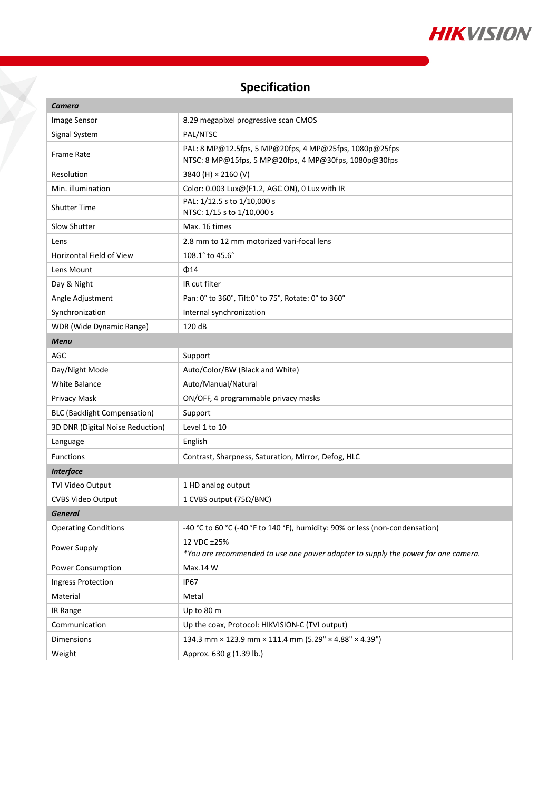

## **Specification**

X

| <b>Camera</b>                       |                                                                                                                 |
|-------------------------------------|-----------------------------------------------------------------------------------------------------------------|
| Image Sensor                        | 8.29 megapixel progressive scan CMOS                                                                            |
| Signal System                       | PAL/NTSC                                                                                                        |
| <b>Frame Rate</b>                   | PAL: 8 MP@12.5fps, 5 MP@20fps, 4 MP@25fps, 1080p@25fps<br>NTSC: 8 MP@15fps, 5 MP@20fps, 4 MP@30fps, 1080p@30fps |
| Resolution                          | 3840 (H) × 2160 (V)                                                                                             |
| Min. illumination                   | Color: 0.003 Lux@(F1.2, AGC ON), 0 Lux with IR                                                                  |
| <b>Shutter Time</b>                 | PAL: 1/12.5 s to 1/10,000 s<br>NTSC: 1/15 s to 1/10,000 s                                                       |
| Slow Shutter                        | Max. 16 times                                                                                                   |
| Lens                                | 2.8 mm to 12 mm motorized vari-focal lens                                                                       |
| <b>Horizontal Field of View</b>     | 108.1° to 45.6°                                                                                                 |
| Lens Mount                          | $\Phi$ 14                                                                                                       |
| Day & Night                         | IR cut filter                                                                                                   |
| Angle Adjustment                    | Pan: 0° to 360°, Tilt:0° to 75°, Rotate: 0° to 360°                                                             |
| Synchronization                     | Internal synchronization                                                                                        |
| WDR (Wide Dynamic Range)            | 120 dB                                                                                                          |
| <b>Menu</b>                         |                                                                                                                 |
| AGC                                 | Support                                                                                                         |
| Day/Night Mode                      | Auto/Color/BW (Black and White)                                                                                 |
| <b>White Balance</b>                | Auto/Manual/Natural                                                                                             |
| Privacy Mask                        | ON/OFF, 4 programmable privacy masks                                                                            |
| <b>BLC (Backlight Compensation)</b> | Support                                                                                                         |
| 3D DNR (Digital Noise Reduction)    | Level 1 to 10                                                                                                   |
| Language                            | English                                                                                                         |
| <b>Functions</b>                    | Contrast, Sharpness, Saturation, Mirror, Defog, HLC                                                             |
| <b>Interface</b>                    |                                                                                                                 |
| TVI Video Output                    | 1 HD analog output                                                                                              |
| <b>CVBS Video Output</b>            | 1 CVBS output (75Ω/BNC)                                                                                         |
| <b>General</b>                      |                                                                                                                 |
| <b>Operating Conditions</b>         | -40 °C to 60 °C (-40 °F to 140 °F), humidity: 90% or less (non-condensation)                                    |
| Power Supply                        | 12 VDC ±25%<br>*You are recommended to use one power adapter to supply the power for one camera.                |
| Power Consumption                   | Max.14 W                                                                                                        |
| <b>Ingress Protection</b>           | <b>IP67</b>                                                                                                     |
| Material                            | Metal                                                                                                           |
| IR Range                            | Up to 80 m                                                                                                      |
| Communication                       | Up the coax, Protocol: HIKVISION-C (TVI output)                                                                 |
| Dimensions                          | 134.3 mm × 123.9 mm × 111.4 mm (5.29" × 4.88" × 4.39")                                                          |
| Weight                              | Approx. 630 g (1.39 lb.)                                                                                        |